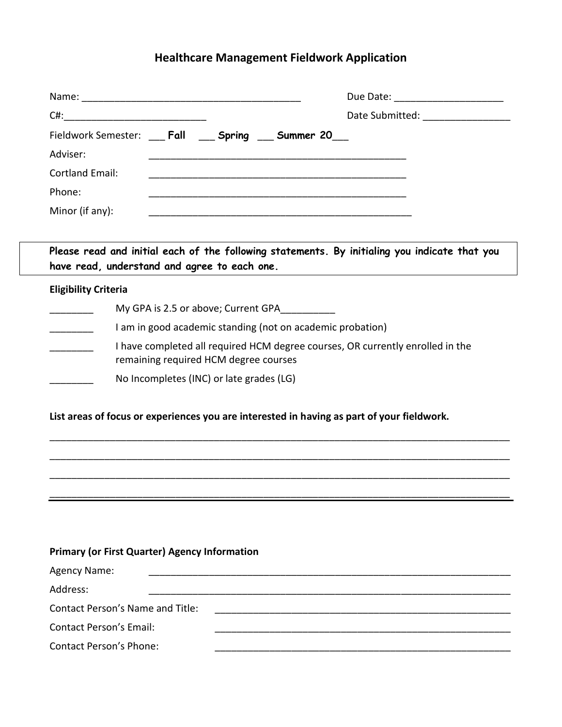# **Healthcare Management Fieldwork Application**

|                                                                                               |  |  |  | Due Date: <u>________________</u>     |
|-----------------------------------------------------------------------------------------------|--|--|--|---------------------------------------|
| C#: ___________________________                                                               |  |  |  | Date Submitted: <u>______________</u> |
| Fieldwork Semester: Fall Spring Summer 20                                                     |  |  |  |                                       |
| Adviser:                                                                                      |  |  |  |                                       |
| <b>Cortland Email:</b>                                                                        |  |  |  |                                       |
| Phone:                                                                                        |  |  |  |                                       |
| Minor (if any):                                                                               |  |  |  |                                       |
|                                                                                               |  |  |  |                                       |
| Please read and initial each of the following statements. By initialing you indicate that you |  |  |  |                                       |
| have read, understand and agree to each one.                                                  |  |  |  |                                       |

## **Eligibility Criteria**

| My GPA is 2.5 or above; Current GPA                                                                                     |
|-------------------------------------------------------------------------------------------------------------------------|
| I am in good academic standing (not on academic probation)                                                              |
| I have completed all required HCM degree courses, OR currently enrolled in the<br>remaining required HCM degree courses |
| No Incompletes (INC) or late grades (LG)                                                                                |

## **List areas of focus or experiences you are interested in having as part of your fieldwork.**

\_\_\_\_\_\_\_\_\_\_\_\_\_\_\_\_\_\_\_\_\_\_\_\_\_\_\_\_\_\_\_\_\_\_\_\_\_\_\_\_\_\_\_\_\_\_\_\_\_\_\_\_\_\_\_\_\_\_\_\_\_\_\_\_\_\_\_\_\_\_\_\_\_\_\_\_\_\_\_\_\_\_\_\_

\_\_\_\_\_\_\_\_\_\_\_\_\_\_\_\_\_\_\_\_\_\_\_\_\_\_\_\_\_\_\_\_\_\_\_\_\_\_\_\_\_\_\_\_\_\_\_\_\_\_\_\_\_\_\_\_\_\_\_\_\_\_\_\_\_\_\_\_\_\_\_\_\_\_\_\_\_\_\_\_\_\_\_\_

\_\_\_\_\_\_\_\_\_\_\_\_\_\_\_\_\_\_\_\_\_\_\_\_\_\_\_\_\_\_\_\_\_\_\_\_\_\_\_\_\_\_\_\_\_\_\_\_\_\_\_\_\_\_\_\_\_\_\_\_\_\_\_\_\_\_\_\_\_\_\_\_\_\_\_\_\_\_\_\_\_\_\_\_

\_\_\_\_\_\_\_\_\_\_\_\_\_\_\_\_\_\_\_\_\_\_\_\_\_\_\_\_\_\_\_\_\_\_\_\_\_\_\_\_\_\_\_\_\_\_\_\_\_\_\_\_\_\_\_\_\_\_\_\_\_\_\_\_\_\_\_\_\_\_\_\_\_\_\_\_\_\_\_\_\_\_\_\_

#### **Primary (or First Quarter) Agency Information**

| Agency Name:                     |  |
|----------------------------------|--|
| Address:                         |  |
| Contact Person's Name and Title: |  |
| <b>Contact Person's Email:</b>   |  |
| <b>Contact Person's Phone:</b>   |  |